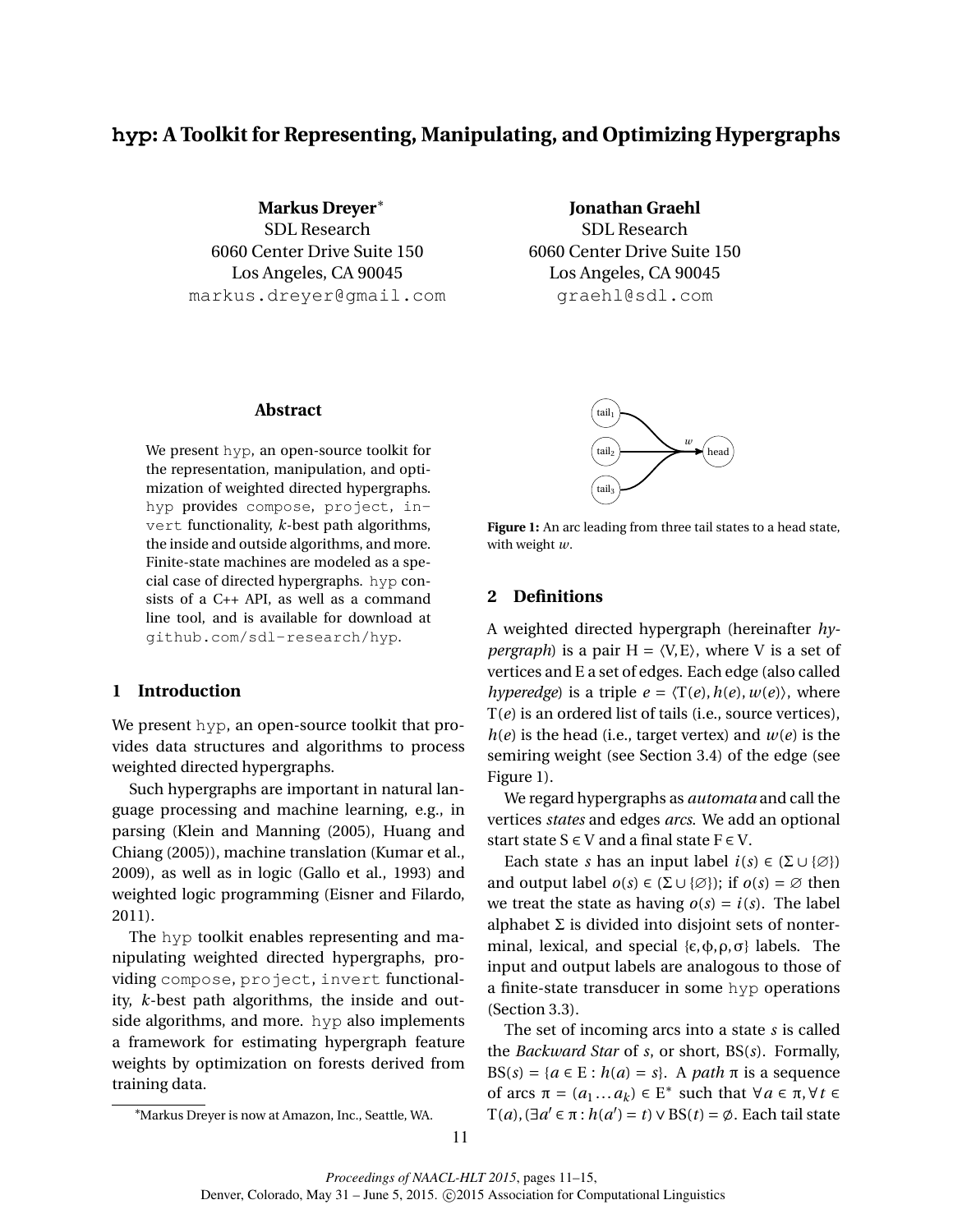# **hyp: A Toolkit for Representing, Manipulating, and Optimizing Hypergraphs**

**Markus Dreyer**<sup>∗</sup> SDL Research 6060 Center Drive Suite 150 Los Angeles, CA 90045 markus.dreyer@gmail.com **Jonathan Graehl**

SDL Research 6060 Center Drive Suite 150 Los Angeles, CA 90045 graehl@sdl.com

## **Abstract**

We present hyp, an open-source toolkit for the representation, manipulation, and optimization of weighted directed hypergraphs. hyp provides compose, project, invert functionality, *k*-best path algorithms, the inside and outside algorithms, and more. Finite-state machines are modeled as a special case of directed hypergraphs. hyp consists of a C++ API, as well as a command line tool, and is available for download at github.com/sdl-research/hyp.

## **1 Introduction**

We present hyp, an open-source toolkit that provides data structures and algorithms to process weighted directed hypergraphs.

Such hypergraphs are important in natural language processing and machine learning, e.g., in parsing (Klein and Manning (2005), Huang and Chiang (2005)), machine translation (Kumar et al., 2009), as well as in logic (Gallo et al., 1993) and weighted logic programming (Eisner and Filardo, 2011).

The hyp toolkit enables representing and manipulating weighted directed hypergraphs, providing compose, project, invert functionality, *k*-best path algorithms, the inside and outside algorithms, and more. hyp also implements a framework for estimating hypergraph feature weights by optimization on forests derived from training data.



Figure 1: An arc leading from three tail states to a head state, with weight *w*.

#### **2 Definitions**

A weighted directed hypergraph (hereinafter *hypergraph*) is a pair  $H = \langle V, E \rangle$ , where V is a set of vertices and E a set of edges. Each edge (also called *hyperedge*) is a triple  $e = \langle T(e), h(e), w(e) \rangle$ , where T(*e*) is an ordered list of tails (i.e., source vertices),  $h(e)$  is the head (i.e., target vertex) and  $w(e)$  is the semiring weight (see Section 3.4) of the edge (see Figure 1).

We regard hypergraphs as *automata* and call the vertices *states* and edges *arcs*. We add an optional start state  $S \in V$  and a final state  $F \in V$ .

Each state *s* has an input label  $i(s) \in (\Sigma \cup \{\emptyset\})$ and output label  $o(s) \in (\Sigma \cup \{\emptyset\})$ ; if  $o(s) = \emptyset$  then we treat the state as having  $o(s) = i(s)$ . The label alphabet  $\Sigma$  is divided into disjoint sets of nonterminal, lexical, and special  $\{\epsilon, \phi, \rho, \sigma\}$  labels. The input and output labels are analogous to those of a finite-state transducer in some hyp operations (Section 3.3).

The set of incoming arcs into a state *s* is called the *Backward Star* of *s*, or short, BS(*s*). Formally, BS( $s$ ) = { $a \in E : h(a) = s$ }. A *path*  $\pi$  is a sequence of arcs  $\pi = (a_1 \dots a_k) \in E^*$  such that  $\forall a \in \pi, \forall t \in$  $T(a)$ , (∃*a*<sup> $'$ </sup> ∈ π : *h*(*a*<sup> $'$ </sup>) = *t*) ∨ BS(*t*) =  $\emptyset$ . Each tail state

<sup>∗</sup>Markus Dreyer is now at Amazon, Inc., Seattle, WA.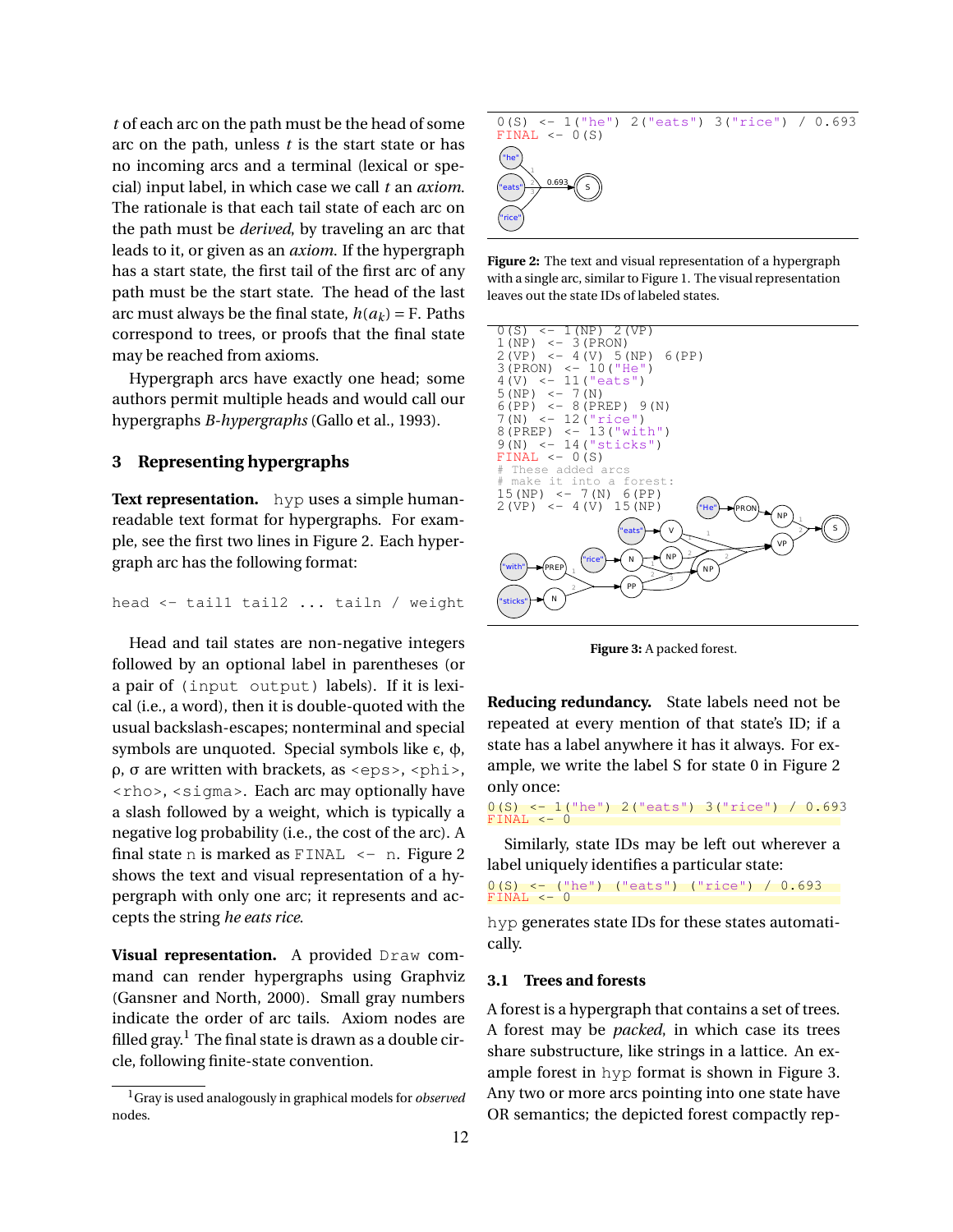*t* of each arc on the path must be the head of some arc on the path, unless *t* is the start state or has no incoming arcs and a terminal (lexical or special) input label, in which case we call *t* an *axiom*. The rationale is that each tail state of each arc on the path must be *derived*, by traveling an arc that leads to it, or given as an *axiom*. If the hypergraph has a start state, the first tail of the first arc of any path must be the start state. The head of the last arc must always be the final state,  $h(a_k) = F$ . Paths correspond to trees, or proofs that the final state may be reached from axioms.

Hypergraph arcs have exactly one head; some authors permit multiple heads and would call our hypergraphs *B-hypergraphs* (Gallo et al., 1993).

## **3 Representing hypergraphs**

**Text representation.** hyp uses a simple humanreadable text format for hypergraphs. For example, see the first two lines in Figure 2. Each hypergraph arc has the following format:

head <- tail1 tail2 ... tailn / weight

Head and tail states are non-negative integers followed by an optional label in parentheses (or a pair of (input output) labels). If it is lexical (i.e., a word), then it is double-quoted with the usual backslash-escapes; nonterminal and special symbols are unquoted. Special symbols like  $ε$ ,  $φ$ ,  $ρ$ ,  $σ$  are written with brackets, as <eps>, <phi>, <rho>, <sigma>. Each arc may optionally have a slash followed by a weight, which is typically a negative log probability (i.e., the cost of the arc). A final state n is marked as  $FINAL \leftarrow n$ . Figure 2 shows the text and visual representation of a hypergraph with only one arc; it represents and accepts the string *he eats rice*.

**Visual representation.** A provided Draw command can render hypergraphs using Graphviz (Gansner and North, 2000). Small gray numbers indicate the order of arc tails. Axiom nodes are filled gray.<sup>1</sup> The final state is drawn as a double circle, following finite-state convention.



**Figure 2:** The text and visual representation of a hypergraph with a single arc, similar to Figure 1. The visual representation leaves out the state IDs of labeled states.



**Figure 3:** A packed forest.

**Reducing redundancy.** State labels need not be repeated at every mention of that state's ID; if a state has a label anywhere it has it always. For example, we write the label S for state 0 in Figure 2 only once:

0(S) <- 1("he") 2("eats") 3("rice") / 0.693  $FINAL < - 0$ 

Similarly, state IDs may be left out wherever a label uniquely identifies a particular state:

```
0(S) <- ("he") ("eats") ("rice") / 0.693
FINAL \leftarrow 0
```
hyp generates state IDs for these states automatically.

#### **3.1 Trees and forests**

A forest is a hypergraph that contains a set of trees. A forest may be *packed*, in which case its trees share substructure, like strings in a lattice. An example forest in hyp format is shown in Figure 3. Any two or more arcs pointing into one state have OR semantics; the depicted forest compactly rep-

<sup>1</sup>Gray is used analogously in graphical models for *observed* nodes.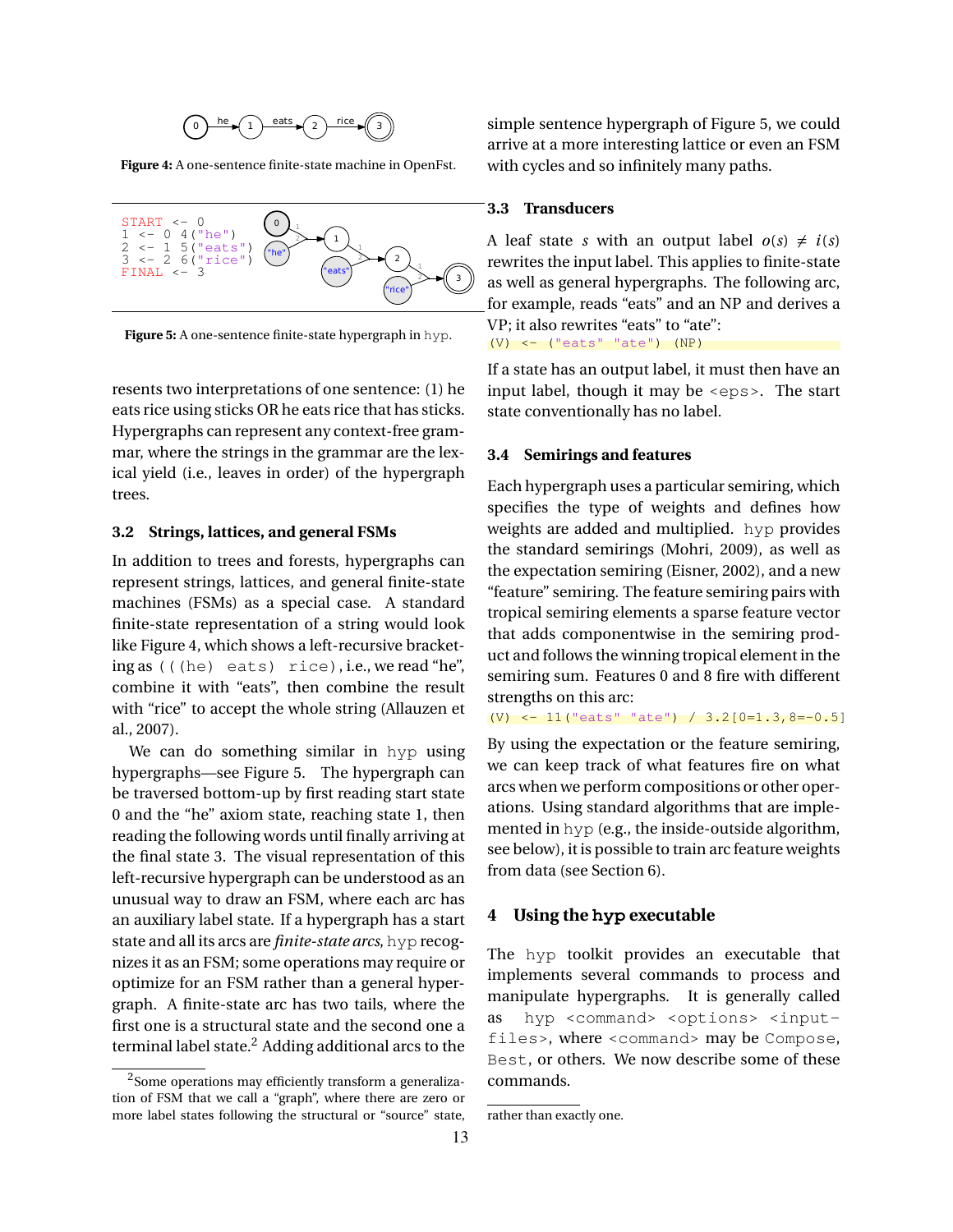

**Figure 4:** A one-sentence finite-state machine in OpenFst.



**Figure 5:** A one-sentence finite-state hypergraph in hyp.

resents two interpretations of one sentence: (1) he eats rice using sticks OR he eats rice that has sticks. Hypergraphs can represent any context-free grammar, where the strings in the grammar are the lexical yield (i.e., leaves in order) of the hypergraph trees.

#### **3.2 Strings, lattices, and general FSMs**

In addition to trees and forests, hypergraphs can represent strings, lattices, and general finite-state machines (FSMs) as a special case. A standard finite-state representation of a string would look like Figure 4, which shows a left-recursive bracketing as (((he) eats) rice), i.e., we read "he", combine it with "eats", then combine the result with "rice" to accept the whole string (Allauzen et al., 2007).

We can do something similar in hyp using hypergraphs—see Figure 5. The hypergraph can be traversed bottom-up by first reading start state 0 and the "he" axiom state, reaching state 1, then reading the following words until finally arriving at the final state 3. The visual representation of this left-recursive hypergraph can be understood as an unusual way to draw an FSM, where each arc has an auxiliary label state. If a hypergraph has a start state and all its arcs are *finite-state arcs*, hyp recognizes it as an FSM; some operations may require or optimize for an FSM rather than a general hypergraph. A finite-state arc has two tails, where the first one is a structural state and the second one a terminal label state. $<sup>2</sup>$  Adding additional arcs to the</sup> simple sentence hypergraph of Figure 5, we could arrive at a more interesting lattice or even an FSM with cycles and so infinitely many paths.

#### **3.3 Transducers**

A leaf state *s* with an output label  $o(s) \neq i(s)$ rewrites the input label. This applies to finite-state as well as general hypergraphs. The following arc, for example, reads "eats" and an NP and derives a VP; it also rewrites "eats" to "ate":  $(V)$  <- ("eats" "ate")  $(NP)$ 

If a state has an output label, it must then have an input label, though it may be <eps>. The start state conventionally has no label.

#### **3.4 Semirings and features**

Each hypergraph uses a particular semiring, which specifies the type of weights and defines how weights are added and multiplied. hyp provides the standard semirings (Mohri, 2009), as well as the expectation semiring (Eisner, 2002), and a new "feature" semiring. The feature semiring pairs with tropical semiring elements a sparse feature vector that adds componentwise in the semiring product and follows the winning tropical element in the semiring sum. Features 0 and 8 fire with different strengths on this arc:

(V) <- 11("eats" "ate") / 3.2[0=1.3,8=-0.5]

By using the expectation or the feature semiring, we can keep track of what features fire on what arcs when we perform compositions or other operations. Using standard algorithms that are implemented in hyp (e.g., the inside-outside algorithm, see below), it is possible to train arc feature weights from data (see Section 6).

## **4 Using the hyp executable**

The hyp toolkit provides an executable that implements several commands to process and manipulate hypergraphs. It is generally called as hyp <command> <options> <inputfiles>, where <command> may be Compose, Best, or others. We now describe some of these commands.

<sup>&</sup>lt;sup>2</sup>Some operations may efficiently transform a generalization of FSM that we call a "graph", where there are zero or more label states following the structural or "source" state,

rather than exactly one.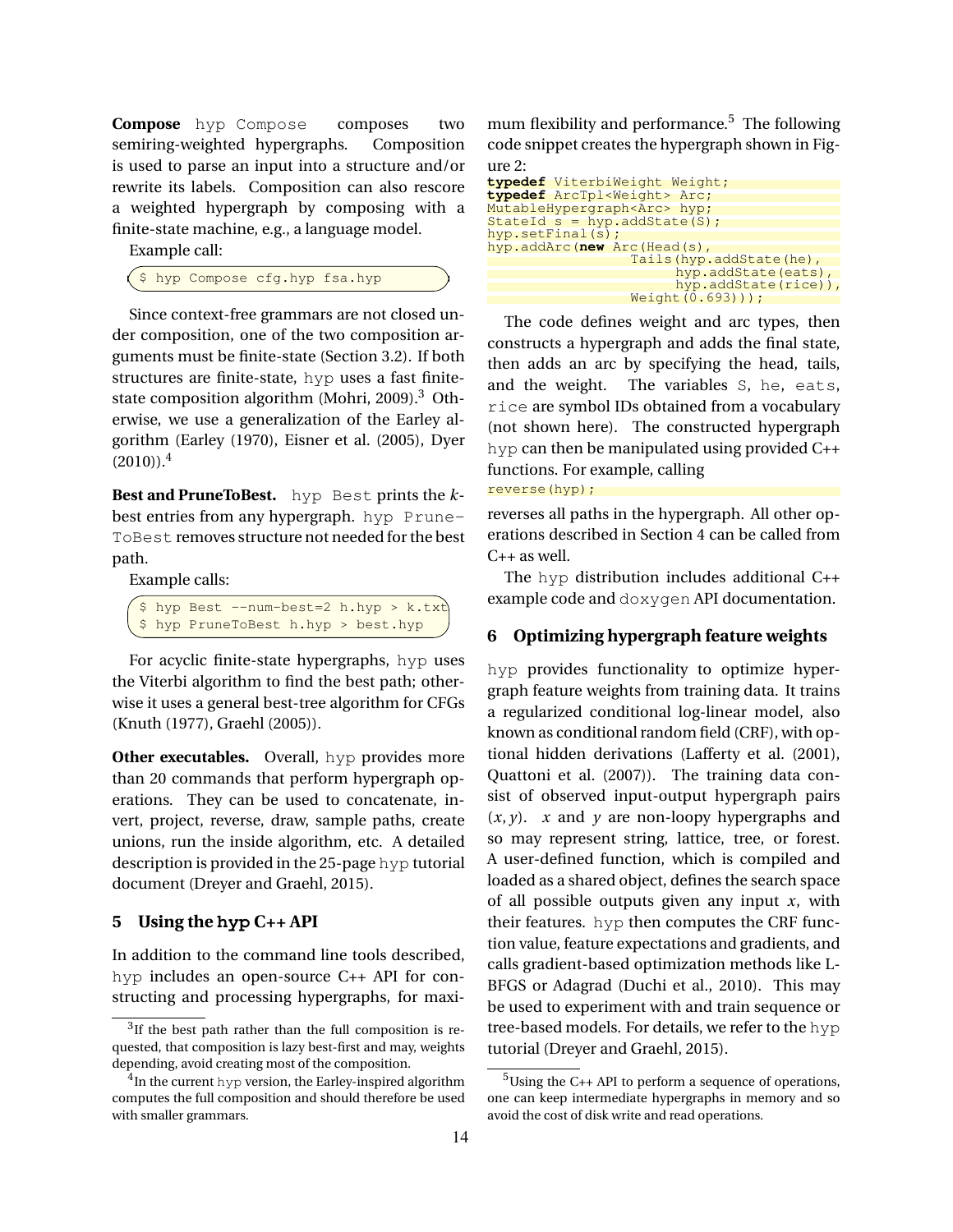**Compose** hyp Compose composes two semiring-weighted hypergraphs. Composition is used to parse an input into a structure and/or rewrite its labels. Composition can also rescore a weighted hypergraph by composing with a finite-state machine, e.g., a language model.

Example call:

\$ hyp Compose cfg.hyp fsa.hyp

Since context-free grammars are not closed under composition, one of the two composition arguments must be finite-state (Section 3.2). If both structures are finite-state, hyp uses a fast finitestate composition algorithm (Mohri, 2009).<sup>3</sup> Otherwise, we use a generalization of the Earley algorithm (Earley (1970), Eisner et al. (2005), Dyer  $(2010)$ .<sup>4</sup>

**Best and PruneToBest.** hyp Best prints the *k*best entries from any hypergraph. hyp Prune-ToBest removes structure not needed for the best path.

Example calls:

|  | $\frac{1}{2}$ \$ hyp Best --num-best=2 h.hyp > k.txt |  |  |  |
|--|------------------------------------------------------|--|--|--|
|  | \$ hyp PruneToBest h.hyp > best.hyp                  |  |  |  |

For acyclic finite-state hypergraphs, hyp uses the Viterbi algorithm to find the best path; otherwise it uses a general best-tree algorithm for CFGs (Knuth (1977), Graehl (2005)).

**Other executables.** Overall, hyp provides more than 20 commands that perform hypergraph operations. They can be used to concatenate, invert, project, reverse, draw, sample paths, create unions, run the inside algorithm, etc. A detailed description is provided in the 25-page hyp tutorial document (Dreyer and Graehl, 2015).

#### **5 Using the hyp C++ API**

In addition to the command line tools described, hyp includes an open-source C++ API for constructing and processing hypergraphs, for maximum flexibility and performance. $5$  The following code snippet creates the hypergraph shown in Figure 2:

```
typedef ViterbiWeight Weight;
typedef ArcTpl<Weight> Arc;
MutableHypergraph<Arc> hyp;
StateId \simeq \nrightarrow \nrightarrow \nrightarrow \node(5);
hyp.setFinal(5);hyp.addArc(new Arc(Head(s),
                    Tails(hyp.addState(he),
                          hyp.addState(eats),
                          hyp.addState(rice)),
                    Weight(0.693));
```
The code defines weight and arc types, then constructs a hypergraph and adds the final state, then adds an arc by specifying the head, tails, and the weight. The variables S, he, eats, rice are symbol IDs obtained from a vocabulary (not shown here). The constructed hypergraph hyp can then be manipulated using provided C++ functions. For example, calling

reverse(hyp);

reverses all paths in the hypergraph. All other operations described in Section 4 can be called from C++ as well.

The hyp distribution includes additional C++ example code and doxygen API documentation.

### **6 Optimizing hypergraph feature weights**

hyp provides functionality to optimize hypergraph feature weights from training data. It trains a regularized conditional log-linear model, also known as conditional random field (CRF), with optional hidden derivations (Lafferty et al. (2001), Quattoni et al. (2007)). The training data consist of observed input-output hypergraph pairs  $(x, y)$ . *x* and *y* are non-loopy hypergraphs and so may represent string, lattice, tree, or forest. A user-defined function, which is compiled and loaded as a shared object, defines the search space of all possible outputs given any input *x*, with their features. hyp then computes the CRF function value, feature expectations and gradients, and calls gradient-based optimization methods like L-BFGS or Adagrad (Duchi et al., 2010). This may be used to experiment with and train sequence or tree-based models. For details, we refer to the hyp tutorial (Dreyer and Graehl, 2015).

<sup>&</sup>lt;sup>3</sup>If the best path rather than the full composition is requested, that composition is lazy best-first and may, weights depending, avoid creating most of the composition.

 $^{4}$ In the current hyp version, the Earley-inspired algorithm computes the full composition and should therefore be used with smaller grammars.

 $5$ Using the C++ API to perform a sequence of operations, one can keep intermediate hypergraphs in memory and so avoid the cost of disk write and read operations.